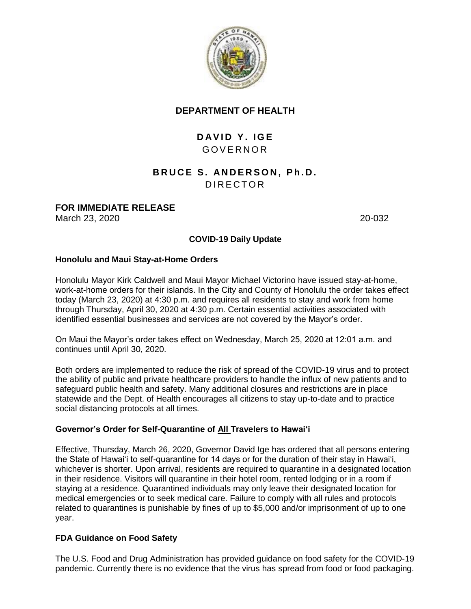

## **DEPARTMENT OF HEALTH**

# **DAVID Y. IGE** G O V E R N O R

# **BRUCE S. ANDERSON, Ph.D.** D I R E C T O R

## **FOR IMMEDIATE RELEASE**

March 23, 2020 **20-032** 

## **COVID-19 Daily Update**

## **Honolulu and Maui Stay-at-Home Orders**

Honolulu Mayor Kirk Caldwell and Maui Mayor Michael Victorino have issued stay-at-home, work-at-home orders for their islands. In the City and County of Honolulu the order takes effect today (March 23, 2020) at 4:30 p.m. and requires all residents to stay and work from home through Thursday, April 30, 2020 at 4:30 p.m. Certain essential activities associated with identified essential businesses and services are not covered by the Mayor's order.

On Maui the Mayor's order takes effect on Wednesday, March 25, 2020 at 12:01 a.m. and continues until April 30, 2020.

Both orders are implemented to reduce the risk of spread of the COVID-19 virus and to protect the ability of public and private healthcare providers to handle the influx of new patients and to safeguard public health and safety. Many additional closures and restrictions are in place statewide and the Dept. of Health encourages all citizens to stay up-to-date and to practice social distancing protocols at all times.

## **Governor's Order for Self-Quarantine of All Travelers to Hawai'i**

Effective, Thursday, March 26, 2020, Governor David Ige has ordered that all persons entering the State of Hawai'i to self-quarantine for 14 days or for the duration of their stay in Hawai'i, whichever is shorter. Upon arrival, residents are required to quarantine in a designated location in their residence. Visitors will quarantine in their hotel room, rented lodging or in a room if staying at a residence. Quarantined individuals may only leave their designated location for medical emergencies or to seek medical care. Failure to comply with all rules and protocols related to quarantines is punishable by fines of up to \$5,000 and/or imprisonment of up to one year.

## **FDA Guidance on Food Safety**

The U.S. Food and Drug Administration has provided guidance on food safety for the COVID-19 pandemic. Currently there is no evidence that the virus has spread from food or food packaging.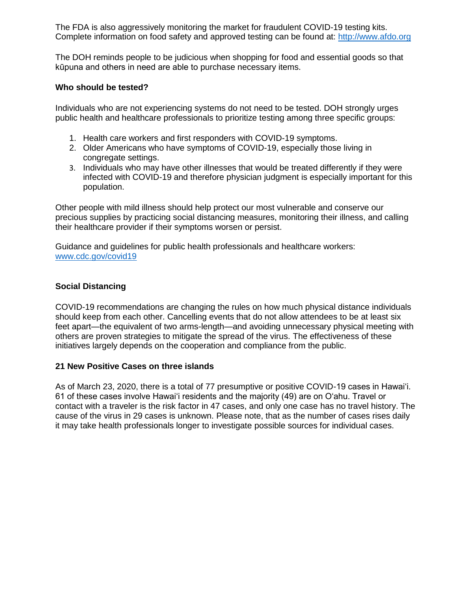The FDA is also aggressively monitoring the market for fraudulent COVID-19 testing kits. Complete information on food safety and approved testing can be found at: [http://www.afdo.org](http://www.afdo.org/)

The DOH reminds people to be judicious when shopping for food and essential goods so that kūpuna and others in need are able to purchase necessary items.

#### **Who should be tested?**

Individuals who are not experiencing systems do not need to be tested. DOH strongly urges public health and healthcare professionals to prioritize testing among three specific groups:

- 1. Health care workers and first responders with COVID-19 symptoms.
- 2. Older Americans who have symptoms of COVID-19, especially those living in congregate settings.
- 3. Individuals who may have other illnesses that would be treated differently if they were infected with COVID-19 and therefore physician judgment is especially important for this population.

Other people with mild illness should help protect our most vulnerable and conserve our precious supplies by practicing social distancing measures, monitoring their illness, and calling their healthcare provider if their symptoms worsen or persist.

Guidance and guidelines for public health professionals and healthcare workers: [www.cdc.gov/covid19](http://www.cdc.gov/covid19)

#### **Social Distancing**

COVID-19 recommendations are changing the rules on how much physical distance individuals should keep from each other. Cancelling events that do not allow attendees to be at least six feet apart—the equivalent of two arms-length—and avoiding unnecessary physical meeting with others are proven strategies to mitigate the spread of the virus. The effectiveness of these initiatives largely depends on the cooperation and compliance from the public.

#### **21 New Positive Cases on three islands**

As of March 23, 2020, there is a total of 77 presumptive or positive COVID-19 cases in Hawai'i. 61 of these cases involve Hawai'i residents and the majority (49) are on O'ahu. Travel or contact with a traveler is the risk factor in 47 cases, and only one case has no travel history. The cause of the virus in 29 cases is unknown. Please note, that as the number of cases rises daily it may take health professionals longer to investigate possible sources for individual cases.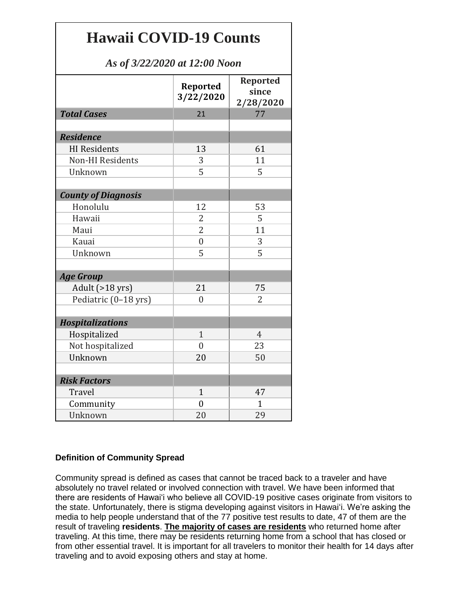# **Hawaii COVID-19 Counts**

# *As of 3/22/2020 at 12:00 Noon*

|                            | Reported<br>3/22/2020 | <b>Reported</b><br>since<br>2/28/2020 |
|----------------------------|-----------------------|---------------------------------------|
| <b>Total Cases</b>         | 21                    | 77                                    |
|                            |                       |                                       |
| <b>Residence</b>           |                       |                                       |
| <b>HI</b> Residents        | 13                    | 61                                    |
| <b>Non-HI Residents</b>    | 3                     | 11                                    |
| Unknown                    | 5                     | 5                                     |
|                            |                       |                                       |
| <b>County of Diagnosis</b> |                       |                                       |
| Honolulu                   | 12                    | 53                                    |
| Hawaii                     | 2                     | 5                                     |
| Maui                       | 2                     | 11                                    |
| Kauai                      | $\overline{0}$        | 3                                     |
| Unknown                    | 5                     | 5                                     |
| <b>Age Group</b>           |                       |                                       |
| Adult (>18 yrs)            | 21                    | 75                                    |
| Pediatric (0-18 yrs)       | $\theta$              | 2                                     |
|                            |                       |                                       |
| <b>Hospitalizations</b>    |                       |                                       |
| Hospitalized               | $\mathbf{1}$          | $\overline{4}$                        |
| Not hospitalized           | $\overline{0}$        | 23                                    |
| Unknown                    | 20                    | 50                                    |
|                            |                       |                                       |
| <b>Risk Factors</b>        |                       |                                       |
| Travel                     | $\mathbf{1}$          | 47                                    |
| Community                  | $\overline{0}$        | $\mathbf{1}$                          |
| Unknown                    | 20                    | 29                                    |

## **Definition of Community Spread**

Community spread is defined as cases that cannot be traced back to a traveler and have absolutely no travel related or involved connection with travel. We have been informed that there are residents of Hawai'i who believe all COVID-19 positive cases originate from visitors to the state. Unfortunately, there is stigma developing against visitors in Hawai'i. We're asking the media to help people understand that of the 77 positive test results to date, 47 of them are the result of traveling **residents**. **The majority of cases are residents** who returned home after traveling. At this time, there may be residents returning home from a school that has closed or from other essential travel. It is important for all travelers to monitor their health for 14 days after traveling and to avoid exposing others and stay at home.